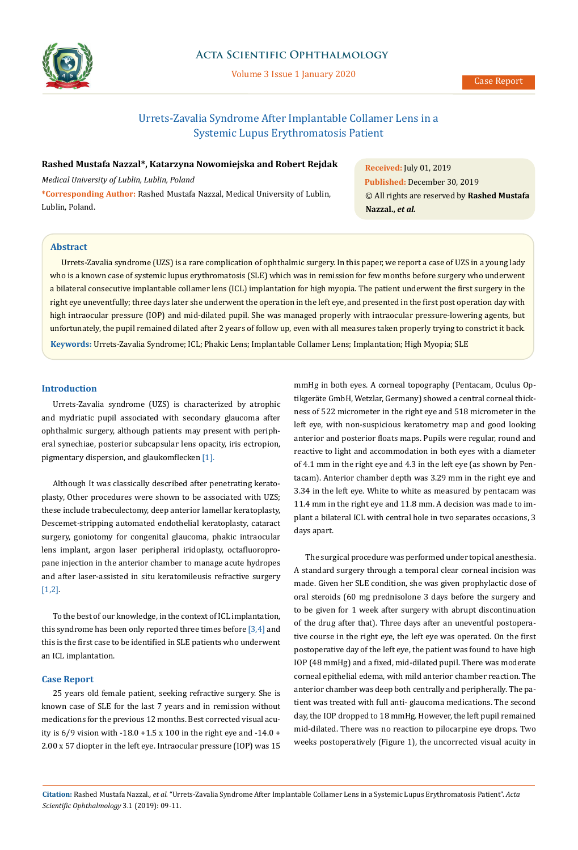

## **Acta Scientific Ophthalmology**

Volume 3 Issue 1 January 2020

# Urrets-Zavalia Syndrome After Implantable Collamer Lens in a Systemic Lupus Erythromatosis Patient

## **Rashed Mustafa Nazzal\*, Katarzyna Nowomiejska and Robert Rejdak**

*Medical University of Lublin, Lublin, Poland* **\*Corresponding Author:** Rashed Mustafa Nazzal, Medical University of Lublin, Lublin, Poland.

**Received:** July 01, 2019 **Published:** December 30, 2019 © All rights are reserved by **Rashed Mustafa Nazzal.,** *et al.*

## **Abstract**

**Keywords:** Urrets-Zavalia Syndrome; ICL; Phakic Lens; Implantable Collamer Lens; Implantation; High Myopia; SLE Urrets-Zavalia syndrome (UZS) is a rare complication of ophthalmic surgery. In this paper, we report a case of UZS in a young lady who is a known case of systemic lupus erythromatosis (SLE) which was in remission for few months before surgery who underwent a bilateral consecutive implantable collamer lens (ICL) implantation for high myopia. The patient underwent the first surgery in the right eye uneventfully; three days later she underwent the operation in the left eye, and presented in the first post operation day with high intraocular pressure (IOP) and mid-dilated pupil. She was managed properly with intraocular pressure-lowering agents, but unfortunately, the pupil remained dilated after 2 years of follow up, even with all measures taken properly trying to constrict it back.

## **Introduction**

Urrets-Zavalia syndrome (UZS) is characterized by atrophic and mydriatic pupil associated with secondary glaucoma after ophthalmic surgery, although patients may present with peripheral synechiae, posterior subcapsular lens opacity, iris ectropion, pigmentary dispersion, and glaukomflecken [1].

Although It was classically described after penetrating keratoplasty, Other procedures were shown to be associated with UZS; these include trabeculectomy, deep anterior lamellar keratoplasty, Descemet-stripping automated endothelial keratoplasty, cataract surgery, goniotomy for congenital glaucoma, phakic intraocular lens implant, argon laser peripheral iridoplasty, octafluoropropane injection in the anterior chamber to manage acute hydropes and after laser-assisted in situ keratomileusis refractive surgery [1,2].

To the best of our knowledge, in the context of ICL implantation, this syndrome has been only reported three times before [3,4] and this is the first case to be identified in SLE patients who underwent an ICL implantation.

#### **Case Report**

25 years old female patient, seeking refractive surgery. She is known case of SLE for the last 7 years and in remission without medications for the previous 12 months. Best corrected visual acuity is 6/9 vision with -18.0 +1.5 x 100 in the right eye and -14.0 + 2.00 x 57 diopter in the left eye. Intraocular pressure (IOP) was 15

mmHg in both eyes. A corneal topography (Pentacam, Oculus Optikgeräte GmbH, Wetzlar, Germany) showed a central corneal thickness of 522 micrometer in the right eye and 518 micrometer in the left eye, with non-suspicious keratometry map and good looking anterior and posterior floats maps. Pupils were regular, round and reactive to light and accommodation in both eyes with a diameter of 4.1 mm in the right eye and 4.3 in the left eye (as shown by Pentacam). Anterior chamber depth was 3.29 mm in the right eye and 3.34 in the left eye. White to white as measured by pentacam was 11.4 mm in the right eye and 11.8 mm. A decision was made to implant a bilateral ICL with central hole in two separates occasions, 3 days apart.

The surgical procedure was performed under topical anesthesia. A standard surgery through a temporal clear corneal incision was made. Given her SLE condition, she was given prophylactic dose of oral steroids (60 mg prednisolone 3 days before the surgery and to be given for 1 week after surgery with abrupt discontinuation of the drug after that). Three days after an uneventful postoperative course in the right eye, the left eye was operated. On the first postoperative day of the left eye, the patient was found to have high IOP (48 mmHg) and a fixed, mid-dilated pupil. There was moderate corneal epithelial edema, with mild anterior chamber reaction. The anterior chamber was deep both centrally and peripherally. The patient was treated with full anti- glaucoma medications. The second day, the IOP dropped to 18 mmHg. However, the left pupil remained mid-dilated. There was no reaction to pilocarpine eye drops. Two weeks postoperatively (Figure 1), the uncorrected visual acuity in

**Citation:** Rashed Mustafa Nazzal*., et al.* "Urrets-Zavalia Syndrome After Implantable Collamer Lens in a Systemic Lupus Erythromatosis Patient". *Acta Scientific Ophthalmology* 3.1 (2019): 09-11.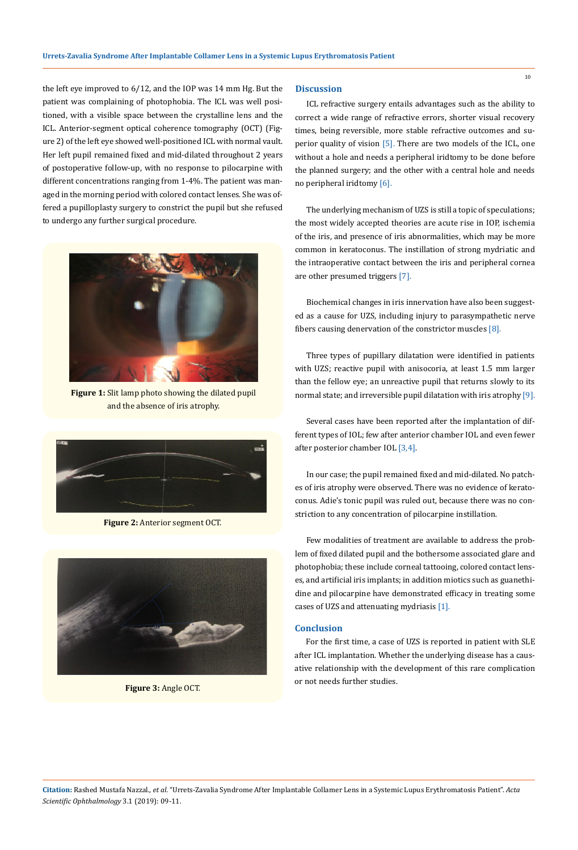the left eye improved to 6/12, and the IOP was 14 mm Hg. But the patient was complaining of photophobia. The ICL was well positioned, with a visible space between the crystalline lens and the ICL. Anterior-segment optical coherence tomography (OCT) (Figure 2) of the left eye showed well-positioned ICL with normal vault. Her left pupil remained fixed and mid-dilated throughout 2 years of postoperative follow-up, with no response to pilocarpine with different concentrations ranging from 1-4%. The patient was managed in the morning period with colored contact lenses. She was offered a pupilloplasty surgery to constrict the pupil but she refused to undergo any further surgical procedure.



**Figure 1:** Slit lamp photo showing the dilated pupil and the absence of iris atrophy.



**Figure 2:** Anterior segment OCT.



**Figure 3:** Angle OCT.

#### **Discussion**

ICL refractive surgery entails advantages such as the ability to correct a wide range of refractive errors, shorter visual recovery times, being reversible, more stable refractive outcomes and superior quality of vision [5]. There are two models of the ICL, one without a hole and needs a peripheral iridtomy to be done before the planned surgery; and the other with a central hole and needs no peripheral iridtomy [6].

The underlying mechanism of UZS is still a topic of speculations; the most widely accepted theories are acute rise in IOP, ischemia of the iris, and presence of iris abnormalities, which may be more common in keratoconus. The instillation of strong mydriatic and the intraoperative contact between the iris and peripheral cornea are other presumed triggers [7].

Biochemical changes in iris innervation have also been suggested as a cause for UZS, including injury to parasympathetic nerve fibers causing denervation of the constrictor muscles [8].

Three types of pupillary dilatation were identified in patients with UZS; reactive pupil with anisocoria, at least 1.5 mm larger than the fellow eye; an unreactive pupil that returns slowly to its normal state; and irreversible pupil dilatation with iris atrophy [9].

Several cases have been reported after the implantation of different types of IOL; few after anterior chamber IOL and even fewer after posterior chamber IOL [3,4].

In our case; the pupil remained fixed and mid-dilated. No patches of iris atrophy were observed. There was no evidence of keratoconus. Adie's tonic pupil was ruled out, because there was no constriction to any concentration of pilocarpine instillation.

Few modalities of treatment are available to address the problem of fixed dilated pupil and the bothersome associated glare and photophobia; these include corneal tattooing, colored contact lenses, and artificial iris implants; in addition miotics such as guanethidine and pilocarpine have demonstrated efficacy in treating some cases of UZS and attenuating mydriasis [1].

#### **Conclusion**

For the first time, a case of UZS is reported in patient with SLE after ICL implantation. Whether the underlying disease has a causative relationship with the development of this rare complication or not needs further studies.

**Citation:** Rashed Mustafa Nazzal*., et al.* "Urrets-Zavalia Syndrome After Implantable Collamer Lens in a Systemic Lupus Erythromatosis Patient". *Acta Scientific Ophthalmology* 3.1 (2019): 09-11.